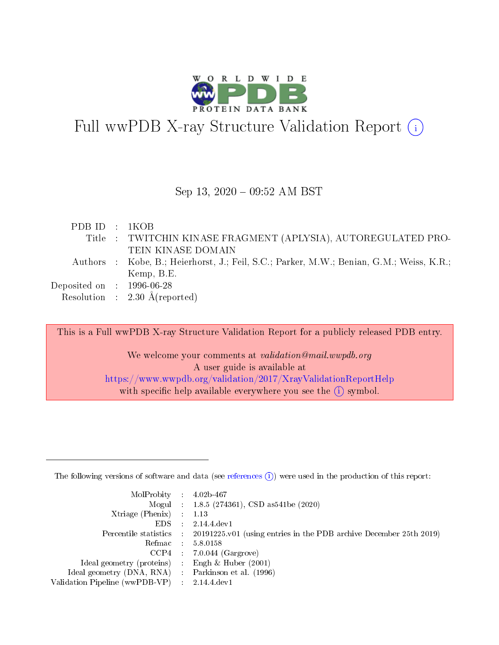

# Full wwPDB X-ray Structure Validation Report  $(i)$

### Sep 13, 2020 - 09:52 AM BST

| PDBID : IKOB                |                                                                                          |
|-----------------------------|------------------------------------------------------------------------------------------|
|                             | Title: TWITCHIN KINASE FRAGMENT (APLYSIA), AUTOREGULATED PRO-                            |
|                             | TEIN KINASE DOMAIN                                                                       |
|                             | Authors : Kobe, B.; Heierhorst, J.; Feil, S.C.; Parker, M.W.; Benian, G.M.; Weiss, K.R.; |
|                             | Kemp, B.E.                                                                               |
| $Deposited on$ : 1996-06-28 |                                                                                          |
|                             | Resolution : $2.30 \text{ Å}$ (reported)                                                 |

This is a Full wwPDB X-ray Structure Validation Report for a publicly released PDB entry. We welcome your comments at validation@mail.wwpdb.org

A user guide is available at <https://www.wwpdb.org/validation/2017/XrayValidationReportHelp> with specific help available everywhere you see the  $(i)$  symbol.

The following versions of software and data (see [references](https://www.wwpdb.org/validation/2017/XrayValidationReportHelp#references)  $(1)$ ) were used in the production of this report:

| $MolProbability$ 4.02b-467                        |                                                                                            |
|---------------------------------------------------|--------------------------------------------------------------------------------------------|
|                                                   | Mogul : $1.8.5$ (274361), CSD as 541be (2020)                                              |
| $Xtriangle (Phenix)$ : 1.13                       |                                                                                            |
| $EDS$ :                                           | 2.14.4 dev1                                                                                |
|                                                   | Percentile statistics : 20191225.v01 (using entries in the PDB archive December 25th 2019) |
|                                                   | Refmac 5.8.0158                                                                            |
|                                                   | $CCP4$ : 7.0.044 (Gargrove)                                                                |
| Ideal geometry (proteins) :                       | Engh & Huber $(2001)$                                                                      |
| Ideal geometry (DNA, RNA) Parkinson et al. (1996) |                                                                                            |
| Validation Pipeline (wwPDB-VP) : 2.14.4.dev1      |                                                                                            |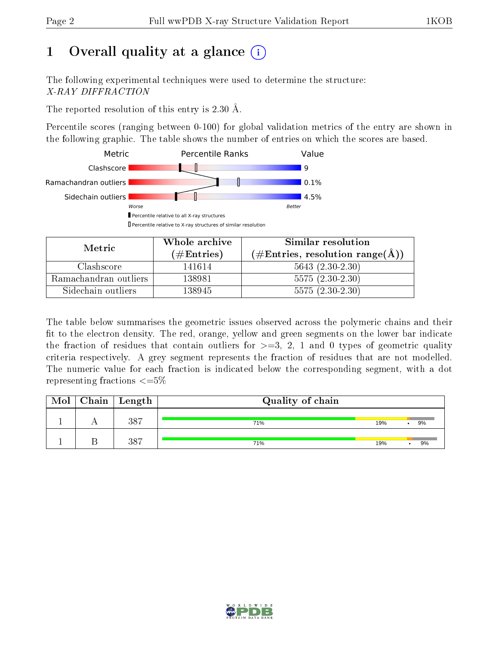# 1 [O](https://www.wwpdb.org/validation/2017/XrayValidationReportHelp#overall_quality)verall quality at a glance  $(i)$

The following experimental techniques were used to determine the structure: X-RAY DIFFRACTION

The reported resolution of this entry is 2.30 Å.

Percentile scores (ranging between 0-100) for global validation metrics of the entry are shown in the following graphic. The table shows the number of entries on which the scores are based.



| Metric                | Whole archive<br>$(\#\text{Entries})$ | Similar resolution<br>$(\#\text{Entries}, \text{resolution range}(\textup{\AA})\)$ |
|-----------------------|---------------------------------------|------------------------------------------------------------------------------------|
| Clashscore            | 141614                                | $5643 (2.30-2.30)$                                                                 |
| Ramachandran outliers | 138981                                | $5575(2.30-2.30)$                                                                  |
| Sidechain outliers    | 138945                                | $5575(2.30-2.30)$                                                                  |

The table below summarises the geometric issues observed across the polymeric chains and their fit to the electron density. The red, orange, yellow and green segments on the lower bar indicate the fraction of residues that contain outliers for  $\geq=3$ , 2, 1 and 0 types of geometric quality criteria respectively. A grey segment represents the fraction of residues that are not modelled. The numeric value for each fraction is indicated below the corresponding segment, with a dot representing fractions  $\leq=5\%$ 

| Mol | $Chain \  Length$ | Quality of chain |     |    |
|-----|-------------------|------------------|-----|----|
|     | -387              | 71%              | 19% | 9% |
|     | 387               | 71%              | 19% | 9% |

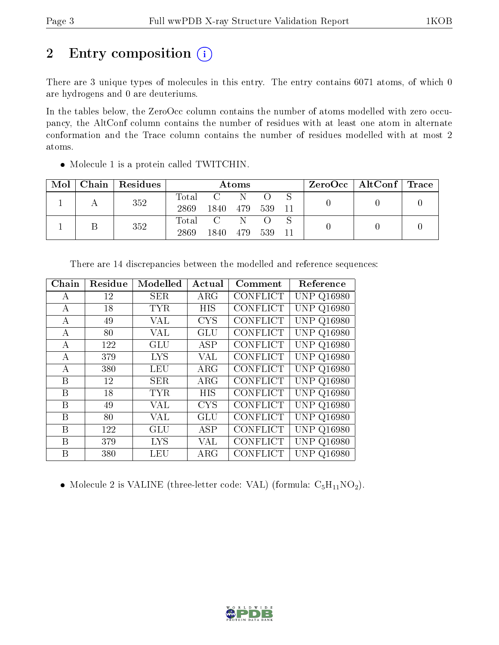# 2 Entry composition (i)

There are 3 unique types of molecules in this entry. The entry contains 6071 atoms, of which 0 are hydrogens and 0 are deuteriums.

In the tables below, the ZeroOcc column contains the number of atoms modelled with zero occupancy, the AltConf column contains the number of residues with at least one atom in alternate conformation and the Trace column contains the number of residues modelled with at most 2 atoms.

| Mol |  | Chain   Residues | Atoms |                                   |     |     |  | $\text{ZeroOcc}$   AltConf   Trace |  |  |
|-----|--|------------------|-------|-----------------------------------|-----|-----|--|------------------------------------|--|--|
|     |  | 352              | Total | $\mathcal{C}$                     | -N  |     |  |                                    |  |  |
|     |  |                  | 2869  | 1840                              | 479 | 539 |  |                                    |  |  |
|     |  | 352              | Total | $\overline{C}$ and $\overline{C}$ | -N- |     |  |                                    |  |  |
|     |  |                  | 2869  | 1840-                             | 479 | 539 |  |                                    |  |  |

Molecule 1 is a protein called TWITCHIN.

| ${\rm Chain}$    | Residue | Modelled   | Actual     | Comment         | Reference         |
|------------------|---------|------------|------------|-----------------|-------------------|
| А                | 12      | SER        | $\rm{ARG}$ | <b>CONFLICT</b> | <b>UNP Q16980</b> |
| А                | 18      | <b>TYR</b> | <b>HIS</b> | <b>CONFLICT</b> | <b>UNP Q16980</b> |
| $\boldsymbol{A}$ | 49      | VAL        | <b>CYS</b> | CONFLICT        | <b>UNP Q16980</b> |
| А                | 80      | VAL        | GLU        | CONFLICT        | <b>UNP Q16980</b> |
| A                | 122     | <b>GLU</b> | <b>ASP</b> | <b>CONFLICT</b> | <b>UNP Q16980</b> |
| А                | 379     | <b>LYS</b> | VAL        | <b>CONFLICT</b> | <b>UNP Q16980</b> |
| A                | 380     | <b>LEU</b> | $\rm{ARG}$ | <b>CONFLICT</b> | <b>UNP Q16980</b> |
| B                | 12      | SER        | $\rm{ARG}$ | <b>CONFLICT</b> | <b>UNP Q16980</b> |
| B                | 18      | <b>TYR</b> | HIS        | <b>CONFLICT</b> | <b>UNP Q16980</b> |
| B                | 49      | VAL        | <b>CYS</b> | <b>CONFLICT</b> | <b>UNP Q16980</b> |
| B                | 80      | VAL        | <b>GLU</b> | <b>CONFLICT</b> | <b>UNP Q16980</b> |
| B                | 122     | GLU        | ASP        | <b>CONFLICT</b> | <b>UNP Q16980</b> |
| B                | 379     | <b>LYS</b> | VAL        | CONFLICT        | <b>UNP Q16980</b> |
| B                | 380     | LEU        | $\rm{ARG}$ | <b>CONFLICT</b> | UNP Q16980        |

There are 14 discrepancies between the modelled and reference sequences:

• Molecule 2 is VALINE (three-letter code: VAL) (formula:  $C_5H_{11}NO_2$ ).

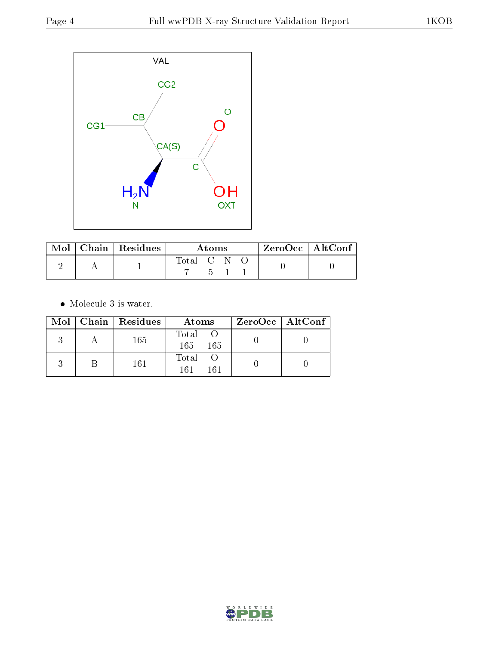

|  | $\blacksquare$ Mol $\vert$ Chain $\vert$ Residues | A toms      |  |        | ZeroOcc   AltConf |  |
|--|---------------------------------------------------|-------------|--|--------|-------------------|--|
|  |                                                   | Total C N O |  | $-5$ 1 |                   |  |

 $\bullet\,$  Molecule 3 is water.

|  | Mol   Chain   Residues | Atoms                  | $ZeroOcc \   \ AltConf \  $ |
|--|------------------------|------------------------|-----------------------------|
|  | 165                    | Total O<br>165<br>-165 |                             |
|  | 161                    | Total O<br>161<br>161  |                             |

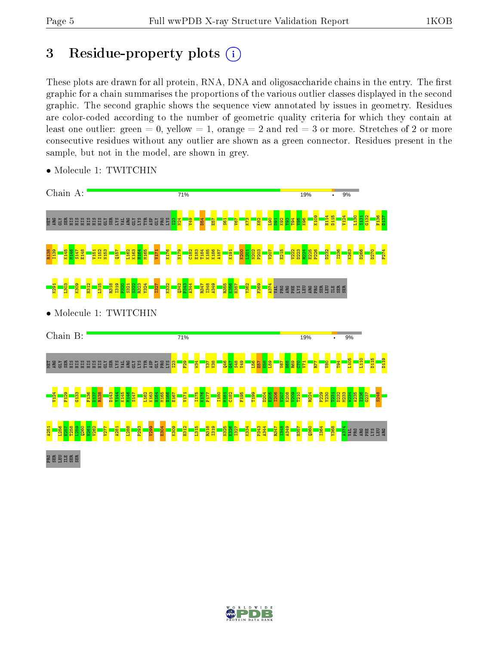# 3 Residue-property plots  $(i)$

These plots are drawn for all protein, RNA, DNA and oligosaccharide chains in the entry. The first graphic for a chain summarises the proportions of the various outlier classes displayed in the second graphic. The second graphic shows the sequence view annotated by issues in geometry. Residues are color-coded according to the number of geometric quality criteria for which they contain at least one outlier: green  $= 0$ , yellow  $= 1$ , orange  $= 2$  and red  $= 3$  or more. Stretches of 2 or more consecutive residues without any outlier are shown as a green connector. Residues present in the sample, but not in the model, are shown in grey.



• Molecule 1: TWITCHIN

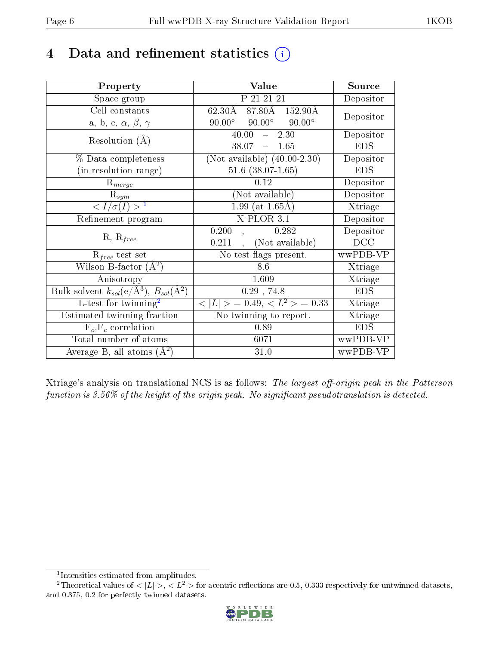# 4 Data and refinement statistics  $(i)$

| Property                                                         | Value                                                            | Source     |
|------------------------------------------------------------------|------------------------------------------------------------------|------------|
| Space group                                                      | P 21 21 21                                                       | Depositor  |
| Cell constants                                                   | 62.30Å 87.80Å 152.90Å                                            | Depositor  |
| a, b, c, $\alpha$ , $\beta$ , $\gamma$                           | $90.00^{\circ}$ $90.00^{\circ}$<br>$90.00^\circ$                 |            |
| Resolution $(A)$                                                 | 40.00<br>2.30<br>$\frac{1}{2}$                                   | Depositor  |
|                                                                  | $38.07 - 1.65$                                                   | <b>EDS</b> |
| % Data completeness                                              | (Not available) $(40.00-2.30)$                                   | Depositor  |
| (in resolution range)                                            | $51.6$ $(38.07 - 1.65)$                                          | <b>EDS</b> |
| $R_{merge}$                                                      | 0.12                                                             | Depositor  |
| $\mathrm{R}_{sym}$                                               | (Not available)                                                  | Depositor  |
| $\sqrt{I/\sigma}(I) > 1$                                         | $1.99$ (at 1.65Å)                                                | Xtriage    |
| Refinement program                                               | $X$ -PLOR $3.1$                                                  | Depositor  |
|                                                                  | 0.200<br>0.282                                                   | Depositor  |
| $R, R_{free}$                                                    | (Not available)<br>0.211                                         | DCC        |
| $R_{free}$ test set                                              | No test flags present.                                           | wwPDB-VP   |
| Wilson B-factor $(A^2)$                                          | 8.6                                                              | Xtriage    |
| Anisotropy                                                       | 1.609                                                            | Xtriage    |
| Bulk solvent $k_{sol}(\text{e}/\text{A}^3), B_{sol}(\text{A}^2)$ | $0.29$ , 74.8                                                    | <b>EDS</b> |
| L-test for $\mathrm{twinning}^2$                                 | $\overline{< L >$ = 0.49, $\overline{<}$ L <sup>2</sup> > = 0.33 | Xtriage    |
| Estimated twinning fraction                                      | No twinning to report.                                           | Xtriage    |
| $F_o, F_c$ correlation                                           | 0.89                                                             | <b>EDS</b> |
| Total number of atoms                                            | 6071                                                             | wwPDB-VP   |
| Average B, all atoms $(A^2)$                                     | 31.0                                                             | wwPDB-VP   |

Xtriage's analysis on translational NCS is as follows: The largest off-origin peak in the Patterson function is  $3.56\%$  of the height of the origin peak. No significant pseudotranslation is detected.

<sup>&</sup>lt;sup>2</sup>Theoretical values of  $\langle |L| \rangle$ ,  $\langle L^2 \rangle$  for acentric reflections are 0.5, 0.333 respectively for untwinned datasets, and 0.375, 0.2 for perfectly twinned datasets.



<span id="page-5-1"></span><span id="page-5-0"></span><sup>1</sup> Intensities estimated from amplitudes.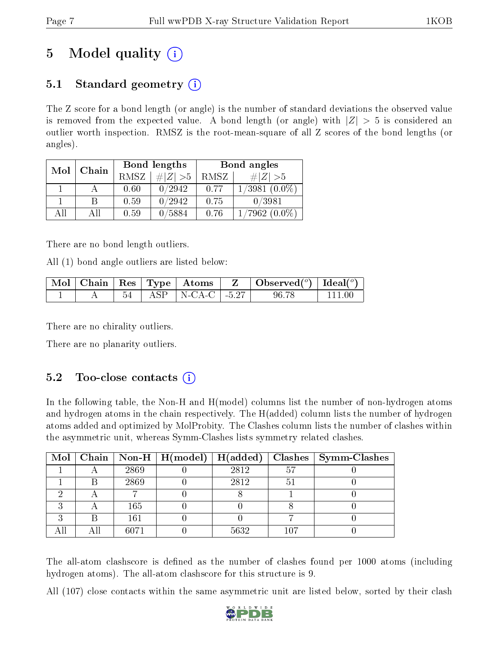# 5 Model quality  $(i)$

# 5.1 Standard geometry  $\overline{()}$

The Z score for a bond length (or angle) is the number of standard deviations the observed value is removed from the expected value. A bond length (or angle) with  $|Z| > 5$  is considered an outlier worth inspection. RMSZ is the root-mean-square of all Z scores of the bond lengths (or angles).

| Mol | Chain |             | Bond lengths | Bond angles |                  |  |
|-----|-------|-------------|--------------|-------------|------------------|--|
|     |       | <b>RMSZ</b> | # $ Z  > 5$  | RMSZ        | # $ Z  > 5$      |  |
|     |       | 0.60        | 0/2942       | 0.77        | $1/3981~(0.0\%)$ |  |
|     | B     | 0.59        | 0/2942       | 0.75        | 0/3981           |  |
| ΑĦ  | ΑII   | 0.59        | 0/5884       | 0.76        | $1/7962(0.0\%)$  |  |

There are no bond length outliers.

All (1) bond angle outliers are listed below:

|  |  |                             | $\vert$ Mol $\vert$ Chain $\vert$ Res $\vert$ Type $\vert$ Atoms $\vert$ Z $\vert$ Observed $\vert$ <sup>o</sup> ) $\vert$ Ideal $\vert$ <sup>o</sup> ) |           |
|--|--|-----------------------------|---------------------------------------------------------------------------------------------------------------------------------------------------------|-----------|
|  |  | $54$   ASP   N-CA-C   -5.27 | 96.78                                                                                                                                                   | $-111.00$ |

There are no chirality outliers.

There are no planarity outliers.

## 5.2 Too-close contacts  $(i)$

In the following table, the Non-H and H(model) columns list the number of non-hydrogen atoms and hydrogen atoms in the chain respectively. The H(added) column lists the number of hydrogen atoms added and optimized by MolProbity. The Clashes column lists the number of clashes within the asymmetric unit, whereas Symm-Clashes lists symmetry related clashes.

|  |      | Mol   Chain   Non-H   $H (model)$   $H (added)$ |      |                | Clashes   Symm-Clashes |
|--|------|-------------------------------------------------|------|----------------|------------------------|
|  | 2869 |                                                 | 2812 | 5 <sup>7</sup> |                        |
|  | 2869 |                                                 | 2812 | 5              |                        |
|  |      |                                                 |      |                |                        |
|  | 165  |                                                 |      |                |                        |
|  | 161  |                                                 |      |                |                        |
|  | 6071 |                                                 | 5632 | 107            |                        |

The all-atom clashscore is defined as the number of clashes found per 1000 atoms (including hydrogen atoms). The all-atom clashscore for this structure is 9.

All (107) close contacts within the same asymmetric unit are listed below, sorted by their clash

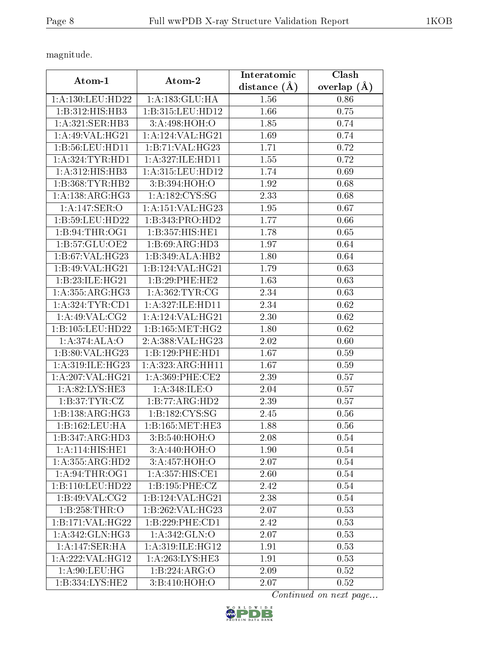magnitude.

| Atom-1              | Atom-2              | Interatomic      | Clash           |
|---------------------|---------------------|------------------|-----------------|
|                     |                     | distance $(\AA)$ | overlap $(\AA)$ |
| 1:A:130:LEU:HD22    | 1:A:183:GLU:HA      | 1.56             | 0.86            |
| 1:B:312:HIS:HB3     | 1:B:315:LEU:HD12    | 1.66             | 0.75            |
| 1:A:321:SER:HB3     | 3:A:498:HOH:O       | 1.85             | 0.74            |
| 1: A:49: VAL: HG21  | 1: A:124: VAL:HG21  | 1.69             | 0.74            |
| 1:B:56:LEU:HD11     | 1:B:71:VAL:HG23     | 1.71             | 0.72            |
| 1: A: 324: TYR: HD1 | 1:A:327:ILE:HD11    | 1.55             | 0.72            |
| 1:A:312:HIS:HB3     | 1:A:315:LEU:HD12    | 1.74             | 0.69            |
| 1:B:368:TYR:HB2     | 3:B:394:HOH:O       | 1.92             | 0.68            |
| 1: A: 138: ARG: HG3 | 1: A: 182: CYS: SG  | 2.33             | 0.68            |
| 1: A:147: SER:O     | 1: A:151: VAL:HG23  | 1.95             | 0.67            |
| 1:B:59:LEU:HD22     | 1:B:343:PRO:HD2     | 1.77             | 0.66            |
| 1: B:94:THR:OG1     | 1:B:357:HIS:HE1     | 1.78             | 0.65            |
| 1:B:57:GLU:OE2      | 1:B:69:ARG:HD3      | 1.97             | 0.64            |
| 1:B:67:VAL:HG23     | 1:B:349:ALA:HB2     | 1.80             | 0.64            |
| 1:B:49:VAL:HG21     | 1:B:124:VAL:HG21    | 1.79             | 0.63            |
| 1:B:23:ILE:HG21     | 1:B:29:PHE:HE2      | 1.63             | 0.63            |
| 1:A:355:ARG:HG3     | 1: A: 362: TYR: CG  | 2.34             | 0.63            |
| 1: A:324:TYR:CD1    | 1:A:327:ILE:HD11    | 2.34             | 0.62            |
| 1:A:49:VAL:CG2      | 1:A:124:VAL:HG21    | 2.30             | 0.62            |
| 1:B:105:LEU:HD22    | 1:B:165:MET:HG2     | 1.80             | 0.62            |
| 1:A:374:ALA:O       | 2:A:388:VAL:HG23    | 2.02             | 0.60            |
| 1:B:80:VAL:HG23     | 1:B:129:PHE:HD1     | 1.67             | 0.59            |
| 1:A:319:ILE:HG23    | 1:A:323:ARG:HH11    | 1.67             | 0.59            |
| 1:A:207:VAL:HG21    | $1: A:369:$ PHE:CE2 | 2.39             | 0.57            |
| 1: A:82: LYS: HE3   | 1:A:348:ILE:O       | 2.04             | 0.57            |
| 1: B:37: TYR: CZ    | 1:B:77:ARG:HD2      | 2.39             | 0.57            |
| 1:B:138:ARG:HG3     | 1:B:182:CYS:SG      | 2.45             | 0.56            |
| 1:B:162:LEU:HA      | 1:B:165:MET:HE3     | 1.88             | 0.56            |
| 1:B:347:ARG:HD3     | 3:B:540:HOH:O       | 2.08             | 0.54            |
| 1: A:114: HIS: HE1  | 3:A:440:HOH:O       | 1.90             | 0.54            |
| 1:A:355:ARG:HD2     | 3:A:457:HOH:O       | 2.07             | 0.54            |
| 1: A:94:THR:OG1     | 1: A: 357: HIS: CE1 | 2.60             | 0.54            |
| 1:B:110:LEU:HD22    | 1:B:195:PHE:CZ      | 2.42             | 0.54            |
| 1:B:49:VAL:CG2      | 1:B:124:VAL:HG21    | 2.38             | 0.54            |
| 1:B:258:THR:O       | 1:B:262:VAL:HG23    | 2.07             | 0.53            |
| 1:B:171:VAL:HG22    | 1:B:229:PHE:CD1     | 2.42             | 0.53            |
| 1:A:342:GLN:HG3     | 1: A: 342: GLN:O    | 2.07             | 0.53            |
| 1:A:147:SER:HA      | 1:A:319:ILE:HG12    | 1.91             | 0.53            |
| 1:A:222:VAL:HG12    | 1:A:263:LYS:HE3     | 1.91             | 0.53            |
| 1: A:90: LEU: HG    | 1:B:224:ARG:O       | 2.09             | 0.52            |
| 1:B:334:LYS:HE2     | 3:B:410:HOH:O       | 2.07             | 0.52            |

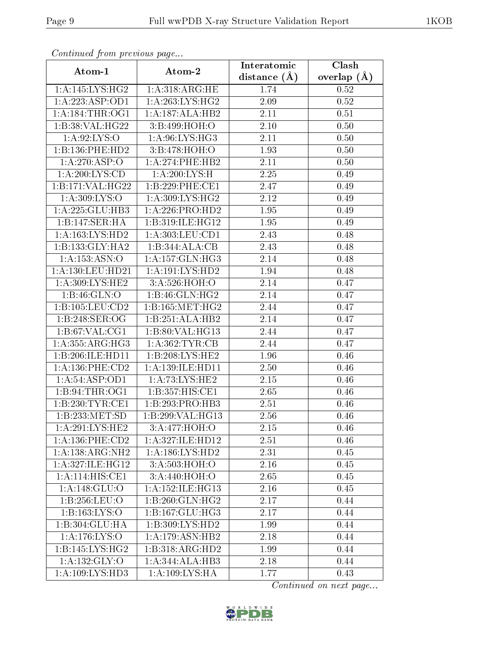| continual from previous page |                              | Interatomic       | Clash           |
|------------------------------|------------------------------|-------------------|-----------------|
| Atom-1                       | Atom-2                       | distance $(A)$    | overlap $(\AA)$ |
| 1: A:145: LYS:HG2            | 1: A:318:ARG:HE              | 1.74              | 0.52            |
| 1:A:223:ASP:OD1              | 1: A:263: LYS: HG2           | 2.09              | 0.52            |
| 1: A:184:THR:OG1             | 1:A:187:ALA:HB2              | 2.11              | 0.51            |
| 1:B:38:VAL:H G22             | 3:B:499:HOH:O                | 2.10              | 0.50            |
| 1: A:92: LYS:O               | 1:A:96:LYS:HG3               | 2.11              | 0.50            |
| 1:B:136:PHE:HD2              | 3:B:478:HOH:O                | 1.93              | 0.50            |
| 1:A:270:ASP:O                | 1: A:274:PHE:HB2             | 2.11              | 0.50            |
| 1: A:200:LYS:CD              | 1: A:200: LYS:H              | 2.25              | 0.49            |
| 1:B:171:VAL:HG22             | 1:B:229:PHE:CE1              | 2.47              | 0.49            |
| 1: A:309: LYS:O              | 1: A:309: LYS: HG2           | 2.12              | 0.49            |
| 1:A:225:GLU:HB3              | 1:A:226:PRO:HD2              | 1.95              | 0.49            |
| 1:B:147:SER:HA               | 1:B:319:ILE:HG12             | $\overline{1.95}$ | 0.49            |
| 1:A:163:LYS:HD2              | 1: A:303:LEU:CD1             | 2.43              | 0.48            |
| 1:B:133:GLY:HA2              | 1:B:344:ALA:CB               | 2.43              | 0.48            |
| 1:A:153:ASN:O                | 1: A: 157: GLN: HG3          | 2.14              | 0.48            |
| 1:A:130:LEU:HD21             | 1: A: 191: LYS: HD2          | 1.94              | 0.48            |
| 1:A:309:LYS:HE2              | 3: A:526:HOH:O               | 2.14              | 0.47            |
| 1: B: 46: GLN:O              | 1:B:46:GLN:HG2               | 2.14              | 0.47            |
| 1:B:105:LEU:CD2              | 1:B:165:MET:HG2              | 2.44              | 0.47            |
| 1:B:248:SER:OG               | 1:B:251:ALA:HB2              | 2.14              | 0.47            |
| 1:B:67:VAL:CG1               | 1:B:80:VAL:HG13              | 2.44              | 0.47            |
| 1: A: 355: ARG: HG3          | 1: A:362:TYR:CB              | 2.44              | 0.47            |
| 1:B:206:ILE:HD11             | 1: B:208: LYS: HE2           | 1.96              | 0.46            |
| 1: A: 136: PHE: CD2          | 1: A: 139: ILE: HD11         | 2.50              | 0.46            |
| 1: A:54:ASP:OD1              | 1:A:73:LYS:HE2               | 2.15              | 0.46            |
| 1:B:94:THR:OG1               | 1:B:357:HIS:CE1              | 2.65              | 0.46            |
| 1:B:230:TYR:CE1              | 1:B:293:PRO:HB3              | 2.51              | 0.46            |
| 1:B:233:MET:SD               | 1:B:299:VAL:HG13             | 2.56              | 0.46            |
| 1: A:291:LYS:HE2             | 3:A:477:HOH:O                | 2.15              | 0.46            |
| 1: A: 136: PHE: CD2          | 1:A:327:ILE:HD12             | 2.51              | 0.46            |
| 1:A:138:ARG:NH2              | 1: A: 186: LYS: HD2          | 2.31              | 0.45            |
| 1:A:327:ILE:HG12             | 3:A:503:HOH:O                | 2.16              | 0.45            |
| 1: A:114: HIS: CE1           | 3:A:440:HOH:O                | 2.65              | 0.45            |
| 1:A:148:GLU:O                | 1: A: 152: ILE: HG13         | 2.16              | 0.45            |
| 1:B:256:LEU:O                | $1:B:260:GLN:H\overline{G2}$ | 2.17              | 0.44            |
| 1:B:163:LYS:O                | 1:B:167:GLU:HG3              | 2.17              | 0.44            |
| 1:B:304:GLU:HA               | 1:B:309:LYS:HD2              | 1.99              | 0.44            |
| 1: A:176: LYS:O              | 1: A:179: ASN:HB2            | 2.18              | 0.44            |
| 1:B:145:LYS:HG2              | 1:B:318:ARG:HD2              | 1.99              | 0.44            |
| 1:A:132:GLY:O                | 1:A:344:ALA:HB3              | 2.18              | 0.44            |
| $1:$ A:109:LYS:HD3           | 1:A:109:LYS:HA               | 1.77              | 0.43            |

Continued from previous page.

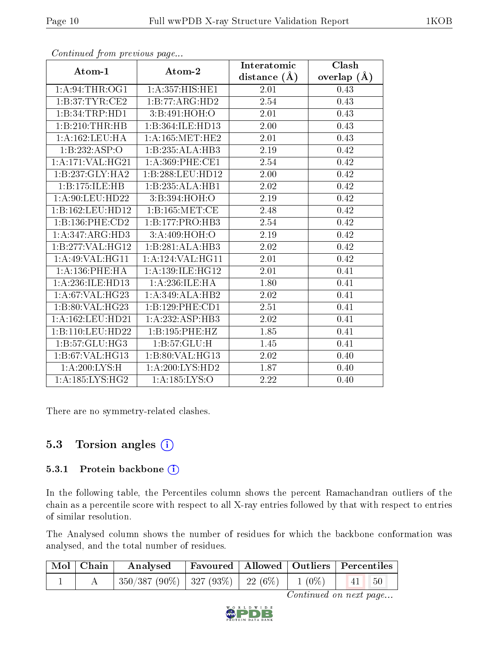|                             |                             | Interatomic    | Clash             |
|-----------------------------|-----------------------------|----------------|-------------------|
| Atom-1                      | Atom-2                      | distance $(A)$ | overlap $(\AA)$   |
| 1: A:94:THR:OG1             | 1:A:357:HIS:HE1             | 2.01           | 0.43              |
| 1: B:37: TYR: CE2           | $1:B:77:A\overline{RG:HD2}$ | 2.54           | 0.43              |
| 1:B:34:TRP:HD1              | 3:B:491:HOH:O               | 2.01           | 0.43              |
| 1:B:210:THR:HB              | 1:B:364:ILE:HD13            | 2.00           | 0.43              |
| 1:A:162:LEU:HA              | 1: A:165: MET:HE2           | 2.01           | 0.43              |
| 1:B:232:ASP:O               | 1:B:235:ALA:HB3             | 2.19           | 0.42              |
| 1:A:171:VAL:HG21            | $1: A:369:$ PHE:CE1         | 2.54           | 0.42              |
| 1:B:237:GLY:HA2             | 1:B:288:LEU:HD12            | 2.00           | 0.42              |
| 1:B:175:ILE:HB              | 1:B:235:ALA:HB1             | 2.02           | 0.42              |
| 1: A:90: LEU:HD22           | 3:B:394:HOH:O               | 2.19           | 0.42              |
| 1:B:162:LEU:HD12            | 1: B: 165: MET:CE           | 2.48           | 0.42              |
| 1:B:136:PHE:CD2             | 1:B:177:PRO:HB3             | 2.54           | 0.42              |
| 1: A:347: ARG:HD3           | 3:A:409:HOH:O               | 2.19           | 0.42              |
| 1:B:277:VAL:HG12            | 1:B:281:ALA:HB3             | 2.02           | 0.42              |
| 1:A:49:VAL:HG11             | 1: A: 124: VAL:HGI1         | 2.01           | 0.42              |
| 1:A:136:PHE:HA              | 1: A: 139: ILE: HG12        | 2.01           | 0.41              |
| 1:A:236:ILE:HD13            | 1: A:236: ILE: HA           | 1.80           | 0.41              |
| 1:A:67:VAL:HG23             | 1:A:349:ALA:HB2             | 2.02           | 0.41              |
| 1:B:80:VAL:HG23             | 1:B:129:PHE:CD1             | 2.51           | 0.41              |
| 1: A: 162: LEU: HD21        | 1:A:232:ASP:HB3             | $2.02\,$       | 0.41              |
| 1:B:110:LEU:HD22            | 1:B:195:PHE:HZ              | 1.85           | $\overline{0.41}$ |
| $1:B:57:GLU:H\overline{G3}$ | 1:B:57:GLU:H                | 1.45           | 0.41              |
| 1:B:67:VAL:HG13             | 1:B:80:VAL:HG13             | 2.02           | 0.40              |
| 1:A:200:LYS:H               | 1:A:200:LYS:HD2             | 1.87           | 0.40              |
| 1:A:185:LYS:HG2             | 1:A:185:LYS:O               | 2.22           | 0.40              |

Continued from previous page...

There are no symmetry-related clashes.

### 5.3 Torsion angles  $(i)$

#### 5.3.1 Protein backbone (i)

In the following table, the Percentiles column shows the percent Ramachandran outliers of the chain as a percentile score with respect to all X-ray entries followed by that with respect to entries of similar resolution.

The Analysed column shows the number of residues for which the backbone conformation was analysed, and the total number of residues.

| Mol   Chain | Analysed                                           | Favoured   Allowed   Outliers   Percentiles |  |                      |  |
|-------------|----------------------------------------------------|---------------------------------------------|--|----------------------|--|
|             | $350/387 (90\%)$   327 (93\%)   22 (6\%)   1 (0\%) |                                             |  | $-50$<br>$\sqrt{41}$ |  |

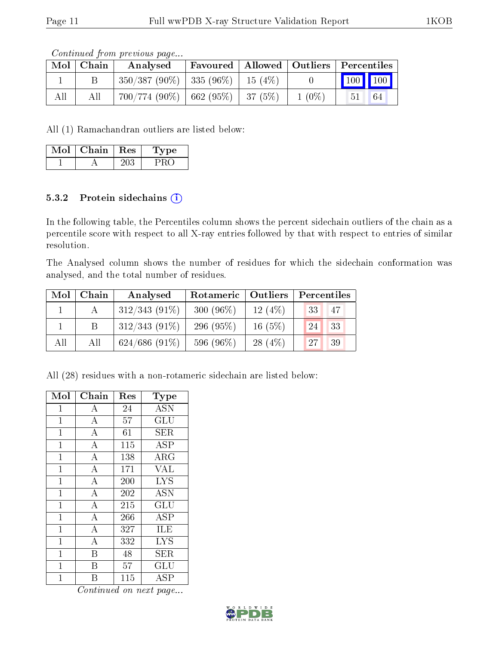Continued from previous page...

| Mol | .   Chain ' | Analysed                                 | Favoured   Allowed   Outliers   Percentiles |          |                             |    |
|-----|-------------|------------------------------------------|---------------------------------------------|----------|-----------------------------|----|
|     |             | $350/387 (90\%)$   335 (96\%)   15 (4\%) |                                             |          | $\boxed{100}$ $\boxed{100}$ |    |
| All | All         | $700/774$ (90%)   662 (95%)   37 (5%)    |                                             | $1(0\%)$ | 51                          | 64 |

All (1) Ramachandran outliers are listed below:

| Mol | Chain | $\mid$ Res | ype<br>L ' |
|-----|-------|------------|------------|
|     |       |            |            |

#### 5.3.2 Protein sidechains  $(i)$

In the following table, the Percentiles column shows the percent sidechain outliers of the chain as a percentile score with respect to all X-ray entries followed by that with respect to entries of similar resolution.

The Analysed column shows the number of residues for which the sidechain conformation was analysed, and the total number of residues.

| Mol | ${\bf Chain}$ | Analysed        | Outliers<br>Rotameric |           | Percentiles |  |  |
|-----|---------------|-----------------|-----------------------|-----------|-------------|--|--|
|     |               | $312/343(91\%)$ | $300(96\%)$           | 12(4%)    | 47<br>33    |  |  |
|     |               | $312/343(91\%)$ | 296 $(95\%)$          | $16(5\%)$ | 33<br>24    |  |  |
| All | All           | $624/686(91\%)$ | 596 (96%)             | 28 $(4%)$ | 39<br>27    |  |  |

All (28) residues with a non-rotameric sidechain are listed below:

| Mol          | Chain              | Res | Type                 |
|--------------|--------------------|-----|----------------------|
| 1            | A                  | 24  | <b>ASN</b>           |
| $\mathbf{1}$ | $\bf{A}$           | 57  | GLU                  |
| $\mathbf{1}$ | $\bf{A}$           | 61  | <b>SER</b>           |
| $\mathbf{1}$ | $\bf{A}$           | 115 | <b>ASP</b>           |
| $\mathbf 1$  | $\bf{A}$           | 138 | $\rm{ARG}$           |
| $\mathbf{1}$ | $\overline{\rm A}$ | 171 | <b>VAL</b>           |
| 1            | $\overline{A}$     | 200 | <b>LYS</b>           |
| $\mathbf{1}$ | $\bf{A}$           | 202 | <b>ASN</b>           |
| $\mathbf 1$  | $\overline{A}$     | 215 | GLU                  |
| $\mathbf{1}$ | $\bf{A}$           | 266 | <b>ASP</b>           |
| $\mathbf{1}$ | $\overline{\rm A}$ | 327 | ILE                  |
| $\mathbf{1}$ | $\bf{A}$           | 332 | <b>LYS</b>           |
| 1            | B                  | 48  | SER                  |
| $\mathbf{1}$ | B                  | 57  | $\operatorname{GLU}$ |
| 1            | R                  | 115 | ASP                  |

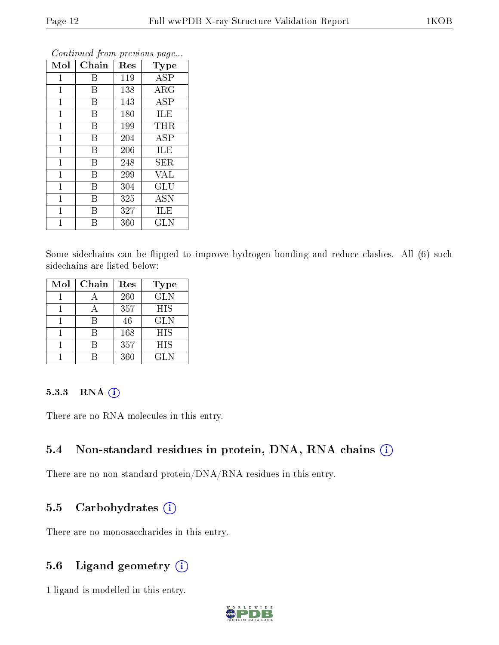|                |       | ×.  | ×.<br>ັ     |
|----------------|-------|-----|-------------|
| Mol            | Chain | Res | Type        |
| 1              | Β     | 119 | <b>ASP</b>  |
| 1              | Β     | 138 | ARG         |
| $\mathbf{1}$   | B     | 143 | <b>ASP</b>  |
| 1              | B     | 180 | ILE         |
| $\mathbf 1$    | Β     | 199 | THR         |
| $\mathbf{1}$   | B     | 204 | <b>ASP</b>  |
| $\mathbf 1$    | B     | 206 | ILE         |
| $\mathbf 1$    | B     | 248 | ${\rm SER}$ |
| $\mathbf{1}$   | Β     | 299 | <b>VAL</b>  |
| $\mathbf{1}$   | Β     | 304 | GLU         |
| $\mathbf 1$    | В     | 325 | <b>ASN</b>  |
| $\overline{1}$ | В     | 327 | ILE         |
| 1              | B     | 360 | GLN         |

Continued from previous page...

Some sidechains can be flipped to improve hydrogen bonding and reduce clashes. All (6) such sidechains are listed below:

| Mol | Chain | Res | <b>Type</b> |
|-----|-------|-----|-------------|
|     |       | 260 | <b>GLN</b>  |
|     |       | 357 | HIS         |
|     |       | 46  | <b>GLN</b>  |
|     | R     | 168 | HIS         |
|     |       | 357 | <b>HIS</b>  |
|     |       | 360 | GLN         |

#### 5.3.3 RNA [O](https://www.wwpdb.org/validation/2017/XrayValidationReportHelp#rna)i

There are no RNA molecules in this entry.

### 5.4 Non-standard residues in protein, DNA, RNA chains (i)

There are no non-standard protein/DNA/RNA residues in this entry.

### 5.5 Carbohydrates  $(i)$

There are no monosaccharides in this entry.

## 5.6 Ligand geometry  $(i)$

1 ligand is modelled in this entry.

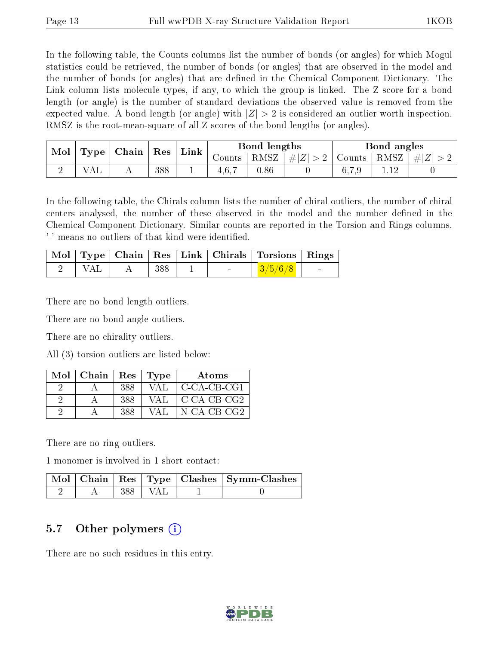In the following table, the Counts columns list the number of bonds (or angles) for which Mogul statistics could be retrieved, the number of bonds (or angles) that are observed in the model and the number of bonds (or angles) that are dened in the Chemical Component Dictionary. The Link column lists molecule types, if any, to which the group is linked. The Z score for a bond length (or angle) is the number of standard deviations the observed value is removed from the expected value. A bond length (or angle) with  $|Z| > 2$  is considered an outlier worth inspection. RMSZ is the root-mean-square of all Z scores of the bond lengths (or angles).

|  | Mol<br>Chain<br>Type.<br>Res |  |     | Link   |      | Bond lengths            |                     |       | Bond angles |  |
|--|------------------------------|--|-----|--------|------|-------------------------|---------------------|-------|-------------|--|
|  |                              |  |     | ∪ounts | RMSZ | $\# Z $<br><sup>2</sup> | Counts <sup>1</sup> | RMSZ  | $\pm  Z $   |  |
|  | ΑL                           |  | 388 |        | 4.6. | 0.86                    |                     | 6,7,9 |             |  |

In the following table, the Chirals column lists the number of chiral outliers, the number of chiral centers analysed, the number of these observed in the model and the number defined in the Chemical Component Dictionary. Similar counts are reported in the Torsion and Rings columns. '-' means no outliers of that kind were identified.

|     |     |  | Mol   Type   Chain   Res   Link   Chirals   Torsions   Rings |  |
|-----|-----|--|--------------------------------------------------------------|--|
| VAL | 388 |  | 3/5/6/8                                                      |  |

There are no bond length outliers.

There are no bond angle outliers.

There are no chirality outliers.

All (3) torsion outliers are listed below:

| Mol | Chain | Res | Type  | Atoms         |
|-----|-------|-----|-------|---------------|
|     |       | 388 | VAL   | C-CA-CB-CG1   |
|     |       | 388 | VAL   | $C-CA-CB-CG2$ |
|     |       | 388 | V A L | N-CA-CB-CG2   |

There are no ring outliers.

1 monomer is involved in 1 short contact:

|  |            | Mol   Chain   Res   Type   Clashes   Symm-Clashes |
|--|------------|---------------------------------------------------|
|  | -388   VAL |                                                   |

#### 5.7 [O](https://www.wwpdb.org/validation/2017/XrayValidationReportHelp#nonstandard_residues_and_ligands)ther polymers  $(i)$

There are no such residues in this entry.

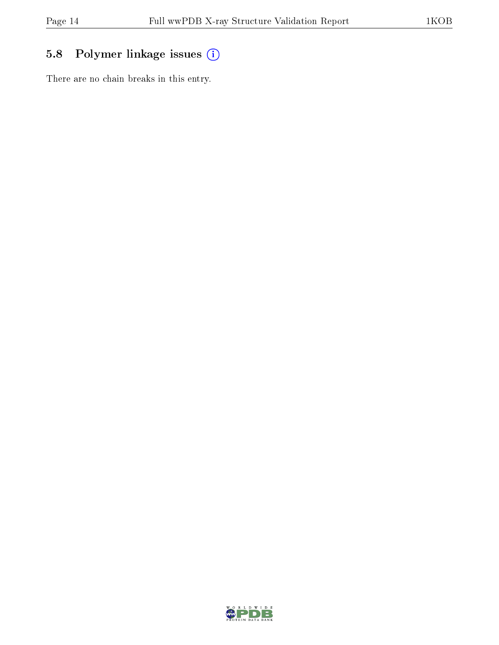# 5.8 Polymer linkage issues (i)

There are no chain breaks in this entry.